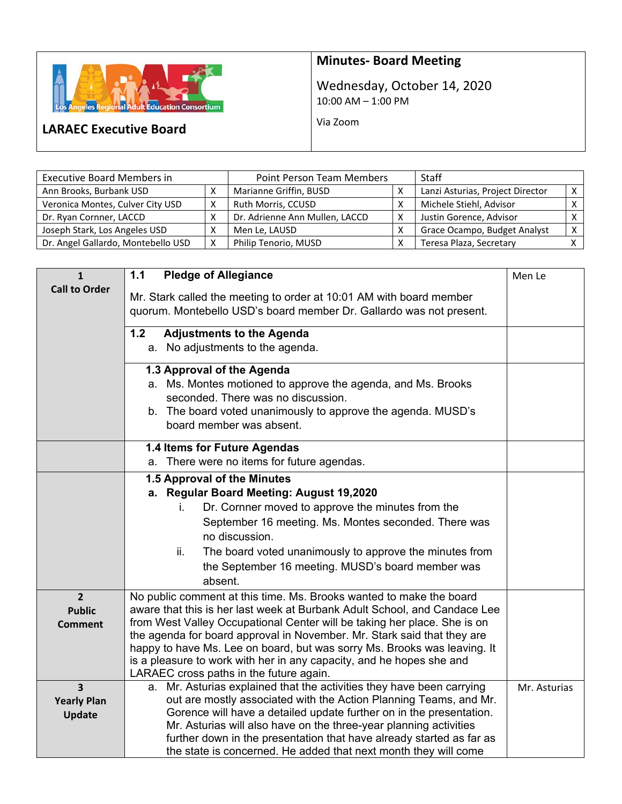

## **Minutes‐ Board Meeting**

Wednesday, October 14, 2020 10:00 AM – 1:00 PM

Via Zoom

## **LARAEC Executive Board**

| <b>Executive Board Members in</b>  | <b>Point Person Team Members</b> | <b>Staff</b>                   |                                  |  |
|------------------------------------|----------------------------------|--------------------------------|----------------------------------|--|
| Ann Brooks, Burbank USD            |                                  | Marianne Griffin, BUSD         | Lanzi Asturias, Project Director |  |
| Veronica Montes, Culver City USD   |                                  | Ruth Morris, CCUSD             | Michele Stiehl, Advisor          |  |
| Dr. Ryan Cornner, LACCD            |                                  | Dr. Adrienne Ann Mullen, LACCD | Justin Gorence, Advisor          |  |
| Joseph Stark, Los Angeles USD      |                                  | Men Le, LAUSD                  | Grace Ocampo, Budget Analyst     |  |
| Dr. Angel Gallardo, Montebello USD | X                                | Philip Tenorio, MUSD           | Teresa Plaza, Secretary          |  |

| $\mathbf{1}$                                  | <b>Pledge of Allegiance</b><br>1.1                                                                                                                  | Men Le       |
|-----------------------------------------------|-----------------------------------------------------------------------------------------------------------------------------------------------------|--------------|
| <b>Call to Order</b>                          | Mr. Stark called the meeting to order at 10:01 AM with board member<br>quorum. Montebello USD's board member Dr. Gallardo was not present.          |              |
|                                               | 1.2<br><b>Adjustments to the Agenda</b>                                                                                                             |              |
|                                               | a. No adjustments to the agenda.                                                                                                                    |              |
|                                               | 1.3 Approval of the Agenda                                                                                                                          |              |
|                                               | a. Ms. Montes motioned to approve the agenda, and Ms. Brooks                                                                                        |              |
|                                               | seconded. There was no discussion.<br>b. The board voted unanimously to approve the agenda. MUSD's                                                  |              |
|                                               | board member was absent.                                                                                                                            |              |
|                                               | 1.4 Items for Future Agendas                                                                                                                        |              |
|                                               | a. There were no items for future agendas.                                                                                                          |              |
|                                               | 1.5 Approval of the Minutes                                                                                                                         |              |
|                                               | a. Regular Board Meeting: August 19,2020                                                                                                            |              |
|                                               | Dr. Cornner moved to approve the minutes from the<br>İ.<br>September 16 meeting. Ms. Montes seconded. There was                                     |              |
|                                               | no discussion.                                                                                                                                      |              |
|                                               | ii.<br>The board voted unanimously to approve the minutes from                                                                                      |              |
|                                               | the September 16 meeting. MUSD's board member was                                                                                                   |              |
|                                               | absent.                                                                                                                                             |              |
| $\overline{2}$                                | No public comment at this time. Ms. Brooks wanted to make the board                                                                                 |              |
| <b>Public</b>                                 | aware that this is her last week at Burbank Adult School, and Candace Lee                                                                           |              |
| Comment                                       | from West Valley Occupational Center will be taking her place. She is on<br>the agenda for board approval in November. Mr. Stark said that they are |              |
|                                               | happy to have Ms. Lee on board, but was sorry Ms. Brooks was leaving. It                                                                            |              |
|                                               | is a pleasure to work with her in any capacity, and he hopes she and                                                                                |              |
|                                               | LARAEC cross paths in the future again.                                                                                                             |              |
| $\overline{\mathbf{3}}$<br><b>Yearly Plan</b> | Mr. Asturias explained that the activities they have been carrying<br>a.<br>out are mostly associated with the Action Planning Teams, and Mr.       | Mr. Asturias |
| <b>Update</b>                                 | Gorence will have a detailed update further on in the presentation.                                                                                 |              |
|                                               | Mr. Asturias will also have on the three-year planning activities                                                                                   |              |
|                                               | further down in the presentation that have already started as far as                                                                                |              |
|                                               | the state is concerned. He added that next month they will come                                                                                     |              |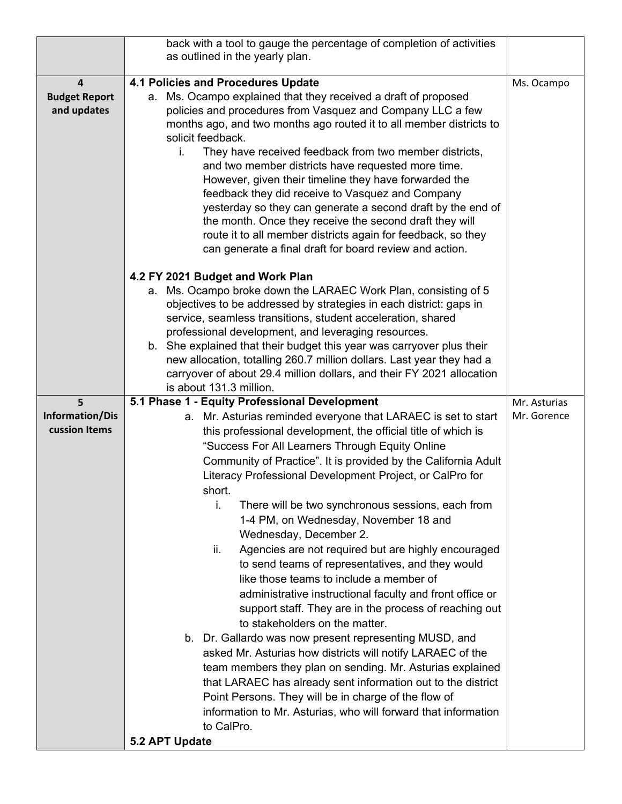| 4.1 Policies and Procedures Update<br>4<br>Ms. Ocampo<br>a. Ms. Ocampo explained that they received a draft of proposed<br><b>Budget Report</b><br>policies and procedures from Vasquez and Company LLC a few<br>and updates<br>months ago, and two months ago routed it to all member districts to<br>solicit feedback.<br>They have received feedback from two member districts,<br>i.<br>and two member districts have requested more time.<br>However, given their timeline they have forwarded the<br>feedback they did receive to Vasquez and Company<br>yesterday so they can generate a second draft by the end of<br>the month. Once they receive the second draft they will<br>route it to all member districts again for feedback, so they<br>can generate a final draft for board review and action.<br>4.2 FY 2021 Budget and Work Plan<br>a. Ms. Ocampo broke down the LARAEC Work Plan, consisting of 5<br>objectives to be addressed by strategies in each district: gaps in<br>service, seamless transitions, student acceleration, shared<br>professional development, and leveraging resources.<br>b. She explained that their budget this year was carryover plus their<br>new allocation, totalling 260.7 million dollars. Last year they had a<br>carryover of about 29.4 million dollars, and their FY 2021 allocation<br>is about 131.3 million.<br>5.1 Phase 1 - Equity Professional Development<br>5<br>Mr. Asturias<br>Information/Dis<br>a. Mr. Asturias reminded everyone that LARAEC is set to start<br>Mr. Gorence<br>cussion Items<br>this professional development, the official title of which is<br>"Success For All Learners Through Equity Online<br>Community of Practice". It is provided by the California Adult<br>Literacy Professional Development Project, or CalPro for<br>short.<br>There will be two synchronous sessions, each from<br>i.<br>1-4 PM, on Wednesday, November 18 and<br>Wednesday, December 2.<br>Agencies are not required but are highly encouraged<br>ii.<br>to send teams of representatives, and they would<br>like those teams to include a member of<br>administrative instructional faculty and front office or<br>support staff. They are in the process of reaching out<br>to stakeholders on the matter.<br>b. Dr. Gallardo was now present representing MUSD, and<br>asked Mr. Asturias how districts will notify LARAEC of the<br>team members they plan on sending. Mr. Asturias explained<br>that LARAEC has already sent information out to the district<br>Point Persons. They will be in charge of the flow of<br>information to Mr. Asturias, who will forward that information<br>to CalPro. | back with a tool to gauge the percentage of completion of activities<br>as outlined in the yearly plan. |  |
|--------------------------------------------------------------------------------------------------------------------------------------------------------------------------------------------------------------------------------------------------------------------------------------------------------------------------------------------------------------------------------------------------------------------------------------------------------------------------------------------------------------------------------------------------------------------------------------------------------------------------------------------------------------------------------------------------------------------------------------------------------------------------------------------------------------------------------------------------------------------------------------------------------------------------------------------------------------------------------------------------------------------------------------------------------------------------------------------------------------------------------------------------------------------------------------------------------------------------------------------------------------------------------------------------------------------------------------------------------------------------------------------------------------------------------------------------------------------------------------------------------------------------------------------------------------------------------------------------------------------------------------------------------------------------------------------------------------------------------------------------------------------------------------------------------------------------------------------------------------------------------------------------------------------------------------------------------------------------------------------------------------------------------------------------------------------------------------------------------------------------------------------------------------------------------------------------------------------------------------------------------------------------------------------------------------------------------------------------------------------------------------------------------------------------------------------------------------------------------------------------------------------------------------------------------------------------------------------------------------------------------------------------------------------------------|---------------------------------------------------------------------------------------------------------|--|
|                                                                                                                                                                                                                                                                                                                                                                                                                                                                                                                                                                                                                                                                                                                                                                                                                                                                                                                                                                                                                                                                                                                                                                                                                                                                                                                                                                                                                                                                                                                                                                                                                                                                                                                                                                                                                                                                                                                                                                                                                                                                                                                                                                                                                                                                                                                                                                                                                                                                                                                                                                                                                                                                                |                                                                                                         |  |
|                                                                                                                                                                                                                                                                                                                                                                                                                                                                                                                                                                                                                                                                                                                                                                                                                                                                                                                                                                                                                                                                                                                                                                                                                                                                                                                                                                                                                                                                                                                                                                                                                                                                                                                                                                                                                                                                                                                                                                                                                                                                                                                                                                                                                                                                                                                                                                                                                                                                                                                                                                                                                                                                                |                                                                                                         |  |
|                                                                                                                                                                                                                                                                                                                                                                                                                                                                                                                                                                                                                                                                                                                                                                                                                                                                                                                                                                                                                                                                                                                                                                                                                                                                                                                                                                                                                                                                                                                                                                                                                                                                                                                                                                                                                                                                                                                                                                                                                                                                                                                                                                                                                                                                                                                                                                                                                                                                                                                                                                                                                                                                                |                                                                                                         |  |
|                                                                                                                                                                                                                                                                                                                                                                                                                                                                                                                                                                                                                                                                                                                                                                                                                                                                                                                                                                                                                                                                                                                                                                                                                                                                                                                                                                                                                                                                                                                                                                                                                                                                                                                                                                                                                                                                                                                                                                                                                                                                                                                                                                                                                                                                                                                                                                                                                                                                                                                                                                                                                                                                                |                                                                                                         |  |
|                                                                                                                                                                                                                                                                                                                                                                                                                                                                                                                                                                                                                                                                                                                                                                                                                                                                                                                                                                                                                                                                                                                                                                                                                                                                                                                                                                                                                                                                                                                                                                                                                                                                                                                                                                                                                                                                                                                                                                                                                                                                                                                                                                                                                                                                                                                                                                                                                                                                                                                                                                                                                                                                                |                                                                                                         |  |
|                                                                                                                                                                                                                                                                                                                                                                                                                                                                                                                                                                                                                                                                                                                                                                                                                                                                                                                                                                                                                                                                                                                                                                                                                                                                                                                                                                                                                                                                                                                                                                                                                                                                                                                                                                                                                                                                                                                                                                                                                                                                                                                                                                                                                                                                                                                                                                                                                                                                                                                                                                                                                                                                                |                                                                                                         |  |
|                                                                                                                                                                                                                                                                                                                                                                                                                                                                                                                                                                                                                                                                                                                                                                                                                                                                                                                                                                                                                                                                                                                                                                                                                                                                                                                                                                                                                                                                                                                                                                                                                                                                                                                                                                                                                                                                                                                                                                                                                                                                                                                                                                                                                                                                                                                                                                                                                                                                                                                                                                                                                                                                                |                                                                                                         |  |
|                                                                                                                                                                                                                                                                                                                                                                                                                                                                                                                                                                                                                                                                                                                                                                                                                                                                                                                                                                                                                                                                                                                                                                                                                                                                                                                                                                                                                                                                                                                                                                                                                                                                                                                                                                                                                                                                                                                                                                                                                                                                                                                                                                                                                                                                                                                                                                                                                                                                                                                                                                                                                                                                                |                                                                                                         |  |
|                                                                                                                                                                                                                                                                                                                                                                                                                                                                                                                                                                                                                                                                                                                                                                                                                                                                                                                                                                                                                                                                                                                                                                                                                                                                                                                                                                                                                                                                                                                                                                                                                                                                                                                                                                                                                                                                                                                                                                                                                                                                                                                                                                                                                                                                                                                                                                                                                                                                                                                                                                                                                                                                                | 5.2 APT Update                                                                                          |  |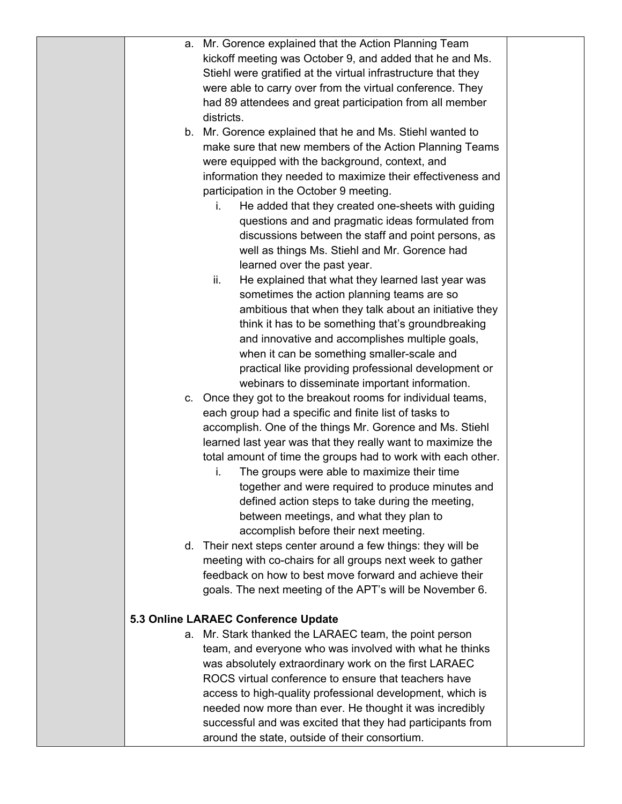|    | a. Mr. Gorence explained that the Action Planning Team        |  |
|----|---------------------------------------------------------------|--|
|    | kickoff meeting was October 9, and added that he and Ms.      |  |
|    | Stiehl were gratified at the virtual infrastructure that they |  |
|    | were able to carry over from the virtual conference. They     |  |
|    | had 89 attendees and great participation from all member      |  |
|    | districts.                                                    |  |
| b. | Mr. Gorence explained that he and Ms. Stiehl wanted to        |  |
|    | make sure that new members of the Action Planning Teams       |  |
|    | were equipped with the background, context, and               |  |
|    | information they needed to maximize their effectiveness and   |  |
|    | participation in the October 9 meeting.                       |  |
|    | He added that they created one-sheets with guiding<br>i.      |  |
|    | questions and and pragmatic ideas formulated from             |  |
|    | discussions between the staff and point persons, as           |  |
|    | well as things Ms. Stiehl and Mr. Gorence had                 |  |
|    | learned over the past year.                                   |  |
|    | ii.<br>He explained that what they learned last year was      |  |
|    | sometimes the action planning teams are so                    |  |
|    | ambitious that when they talk about an initiative they        |  |
|    | think it has to be something that's groundbreaking            |  |
|    | and innovative and accomplishes multiple goals,               |  |
|    | when it can be something smaller-scale and                    |  |
|    | practical like providing professional development or          |  |
|    | webinars to disseminate important information.                |  |
|    | c. Once they got to the breakout rooms for individual teams,  |  |
|    | each group had a specific and finite list of tasks to         |  |
|    | accomplish. One of the things Mr. Gorence and Ms. Stiehl      |  |
|    | learned last year was that they really want to maximize the   |  |
|    | total amount of time the groups had to work with each other.  |  |
|    | The groups were able to maximize their time<br>ı.             |  |
|    | together and were required to produce minutes and             |  |
|    | defined action steps to take during the meeting,              |  |
|    | between meetings, and what they plan to                       |  |
|    | accomplish before their next meeting.                         |  |
|    | d. Their next steps center around a few things: they will be  |  |
|    | meeting with co-chairs for all groups next week to gather     |  |
|    | feedback on how to best move forward and achieve their        |  |
|    | goals. The next meeting of the APT's will be November 6.      |  |
|    |                                                               |  |
|    | 5.3 Online LARAEC Conference Update                           |  |
|    | a. Mr. Stark thanked the LARAEC team, the point person        |  |
|    | team, and everyone who was involved with what he thinks       |  |
|    | was absolutely extraordinary work on the first LARAEC         |  |
|    | ROCS virtual conference to ensure that teachers have          |  |
|    | access to high-quality professional development, which is     |  |
|    | needed now more than ever. He thought it was incredibly       |  |
|    | successful and was excited that they had participants from    |  |
|    | around the state, outside of their consortium.                |  |
|    |                                                               |  |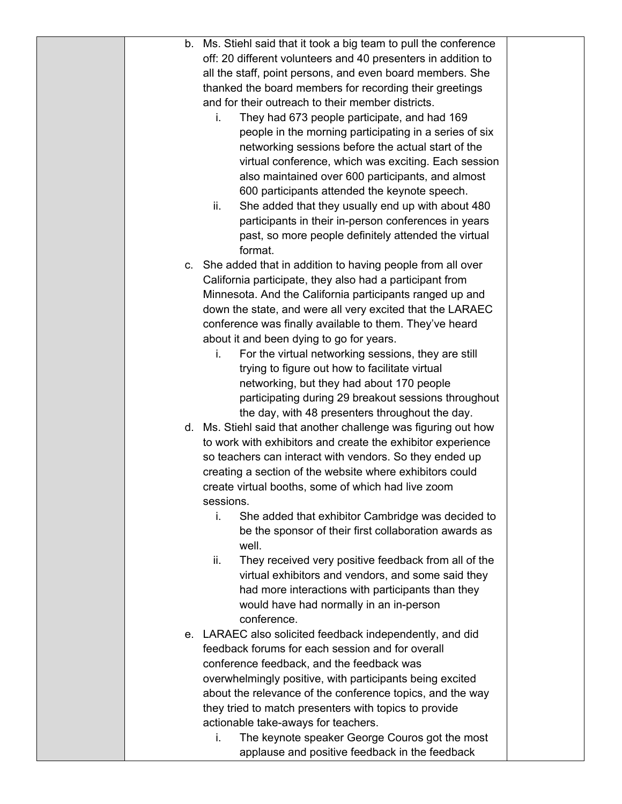|  | b. Ms. Stiehl said that it took a big team to pull the conference |  |
|--|-------------------------------------------------------------------|--|
|  | off: 20 different volunteers and 40 presenters in addition to     |  |
|  | all the staff, point persons, and even board members. She         |  |
|  | thanked the board members for recording their greetings           |  |
|  | and for their outreach to their member districts.                 |  |
|  | They had 673 people participate, and had 169<br>i.                |  |
|  | people in the morning participating in a series of six            |  |
|  | networking sessions before the actual start of the                |  |
|  | virtual conference, which was exciting. Each session              |  |
|  | also maintained over 600 participants, and almost                 |  |
|  | 600 participants attended the keynote speech.                     |  |
|  | ii.<br>She added that they usually end up with about 480          |  |
|  | participants in their in-person conferences in years              |  |
|  | past, so more people definitely attended the virtual              |  |
|  | format.                                                           |  |
|  | c. She added that in addition to having people from all over      |  |
|  | California participate, they also had a participant from          |  |
|  | Minnesota. And the California participants ranged up and          |  |
|  | down the state, and were all very excited that the LARAEC         |  |
|  | conference was finally available to them. They've heard           |  |
|  | about it and been dying to go for years.                          |  |
|  | For the virtual networking sessions, they are still<br>i.         |  |
|  | trying to figure out how to facilitate virtual                    |  |
|  | networking, but they had about 170 people                         |  |
|  | participating during 29 breakout sessions throughout              |  |
|  | the day, with 48 presenters throughout the day.                   |  |
|  | d. Ms. Stiehl said that another challenge was figuring out how    |  |
|  | to work with exhibitors and create the exhibitor experience       |  |
|  | so teachers can interact with vendors. So they ended up           |  |
|  | creating a section of the website where exhibitors could          |  |
|  | create virtual booths, some of which had live zoom                |  |
|  | sessions.                                                         |  |
|  | i.<br>She added that exhibitor Cambridge was decided to           |  |
|  | be the sponsor of their first collaboration awards as             |  |
|  | well.                                                             |  |
|  | ii.<br>They received very positive feedback from all of the       |  |
|  | virtual exhibitors and vendors, and some said they                |  |
|  | had more interactions with participants than they                 |  |
|  | would have had normally in an in-person                           |  |
|  | conference.                                                       |  |
|  | e. LARAEC also solicited feedback independently, and did          |  |
|  | feedback forums for each session and for overall                  |  |
|  | conference feedback, and the feedback was                         |  |
|  | overwhelmingly positive, with participants being excited          |  |
|  | about the relevance of the conference topics, and the way         |  |
|  | they tried to match presenters with topics to provide             |  |
|  | actionable take-aways for teachers.                               |  |
|  | The keynote speaker George Couros got the most<br>i.              |  |
|  | applause and positive feedback in the feedback                    |  |
|  |                                                                   |  |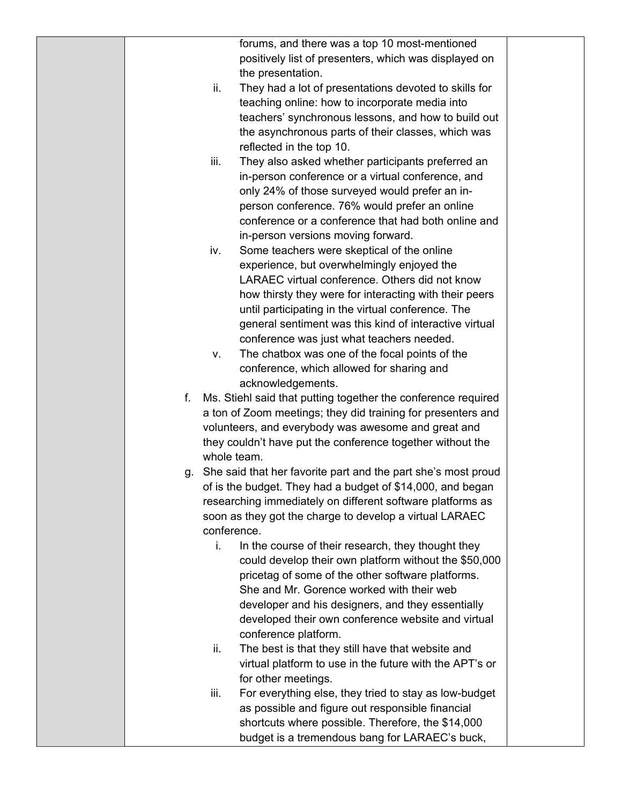|    |             | forums, and there was a top 10 most-mentioned                    |  |
|----|-------------|------------------------------------------------------------------|--|
|    |             | positively list of presenters, which was displayed on            |  |
|    |             | the presentation.                                                |  |
|    | ii.         | They had a lot of presentations devoted to skills for            |  |
|    |             | teaching online: how to incorporate media into                   |  |
|    |             | teachers' synchronous lessons, and how to build out              |  |
|    |             | the asynchronous parts of their classes, which was               |  |
|    |             | reflected in the top 10.                                         |  |
|    | iii.        | They also asked whether participants preferred an                |  |
|    |             | in-person conference or a virtual conference, and                |  |
|    |             | only 24% of those surveyed would prefer an in-                   |  |
|    |             | person conference. 76% would prefer an online                    |  |
|    |             | conference or a conference that had both online and              |  |
|    |             | in-person versions moving forward.                               |  |
|    | iv.         | Some teachers were skeptical of the online                       |  |
|    |             | experience, but overwhelmingly enjoyed the                       |  |
|    |             | LARAEC virtual conference. Others did not know                   |  |
|    |             | how thirsty they were for interacting with their peers           |  |
|    |             | until participating in the virtual conference. The               |  |
|    |             | general sentiment was this kind of interactive virtual           |  |
|    |             | conference was just what teachers needed.                        |  |
|    | ν.          | The chatbox was one of the focal points of the                   |  |
|    |             | conference, which allowed for sharing and                        |  |
|    |             | acknowledgements.                                                |  |
| f. |             | Ms. Stiehl said that putting together the conference required    |  |
|    |             | a ton of Zoom meetings; they did training for presenters and     |  |
|    |             | volunteers, and everybody was awesome and great and              |  |
|    |             | they couldn't have put the conference together without the       |  |
|    | whole team. |                                                                  |  |
|    |             | g. She said that her favorite part and the part she's most proud |  |
|    |             | of is the budget. They had a budget of \$14,000, and began       |  |
|    |             | researching immediately on different software platforms as       |  |
|    |             | soon as they got the charge to develop a virtual LARAEC          |  |
|    | conference. |                                                                  |  |
|    | i.          | In the course of their research, they thought they               |  |
|    |             | could develop their own platform without the \$50,000            |  |
|    |             | pricetag of some of the other software platforms.                |  |
|    |             | She and Mr. Gorence worked with their web                        |  |
|    |             | developer and his designers, and they essentially                |  |
|    |             | developed their own conference website and virtual               |  |
|    |             | conference platform.                                             |  |
|    | ii.         | The best is that they still have that website and                |  |
|    |             | virtual platform to use in the future with the APT's or          |  |
|    |             | for other meetings.                                              |  |
|    | iii.        | For everything else, they tried to stay as low-budget            |  |
|    |             | as possible and figure out responsible financial                 |  |
|    |             | shortcuts where possible. Therefore, the \$14,000                |  |
|    |             | budget is a tremendous bang for LARAEC's buck,                   |  |
|    |             |                                                                  |  |
|    |             |                                                                  |  |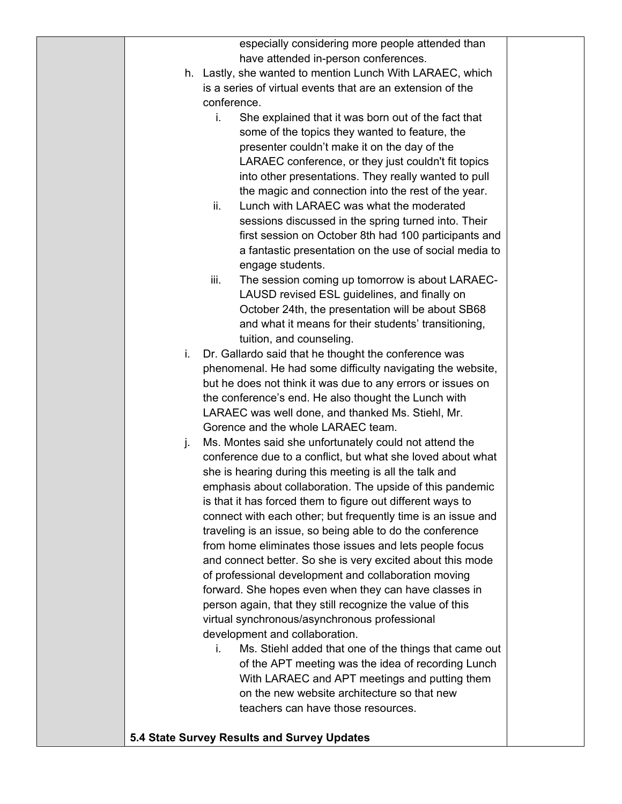|    | especially considering more people attended than                                                                          |  |
|----|---------------------------------------------------------------------------------------------------------------------------|--|
|    | have attended in-person conferences.                                                                                      |  |
|    | h. Lastly, she wanted to mention Lunch With LARAEC, which                                                                 |  |
|    | is a series of virtual events that are an extension of the                                                                |  |
|    | conference.                                                                                                               |  |
|    | She explained that it was born out of the fact that<br>i.                                                                 |  |
|    | some of the topics they wanted to feature, the                                                                            |  |
|    | presenter couldn't make it on the day of the                                                                              |  |
|    | LARAEC conference, or they just couldn't fit topics                                                                       |  |
|    | into other presentations. They really wanted to pull                                                                      |  |
|    | the magic and connection into the rest of the year.                                                                       |  |
|    | Lunch with LARAEC was what the moderated<br>ii.                                                                           |  |
|    | sessions discussed in the spring turned into. Their                                                                       |  |
|    | first session on October 8th had 100 participants and                                                                     |  |
|    | a fantastic presentation on the use of social media to                                                                    |  |
|    | engage students.                                                                                                          |  |
|    | iii.<br>The session coming up tomorrow is about LARAEC-                                                                   |  |
|    | LAUSD revised ESL guidelines, and finally on                                                                              |  |
|    | October 24th, the presentation will be about SB68                                                                         |  |
|    | and what it means for their students' transitioning,                                                                      |  |
|    | tuition, and counseling.                                                                                                  |  |
| i. | Dr. Gallardo said that he thought the conference was                                                                      |  |
|    | phenomenal. He had some difficulty navigating the website,<br>but he does not think it was due to any errors or issues on |  |
|    | the conference's end. He also thought the Lunch with                                                                      |  |
|    | LARAEC was well done, and thanked Ms. Stiehl, Mr.                                                                         |  |
|    | Gorence and the whole LARAEC team.                                                                                        |  |
| j. | Ms. Montes said she unfortunately could not attend the                                                                    |  |
|    | conference due to a conflict, but what she loved about what                                                               |  |
|    | she is hearing during this meeting is all the talk and                                                                    |  |
|    | emphasis about collaboration. The upside of this pandemic                                                                 |  |
|    | is that it has forced them to figure out different ways to                                                                |  |
|    | connect with each other; but frequently time is an issue and                                                              |  |
|    | traveling is an issue, so being able to do the conference                                                                 |  |
|    | from home eliminates those issues and lets people focus                                                                   |  |
|    | and connect better. So she is very excited about this mode                                                                |  |
|    | of professional development and collaboration moving                                                                      |  |
|    | forward. She hopes even when they can have classes in                                                                     |  |
|    | person again, that they still recognize the value of this                                                                 |  |
|    | virtual synchronous/asynchronous professional                                                                             |  |
|    | development and collaboration.                                                                                            |  |
|    | Ms. Stiehl added that one of the things that came out<br>i.                                                               |  |
|    | of the APT meeting was the idea of recording Lunch                                                                        |  |
|    | With LARAEC and APT meetings and putting them<br>on the new website architecture so that new                              |  |
|    | teachers can have those resources.                                                                                        |  |
|    |                                                                                                                           |  |
|    | 5.4 State Survey Results and Survey Updates                                                                               |  |
|    |                                                                                                                           |  |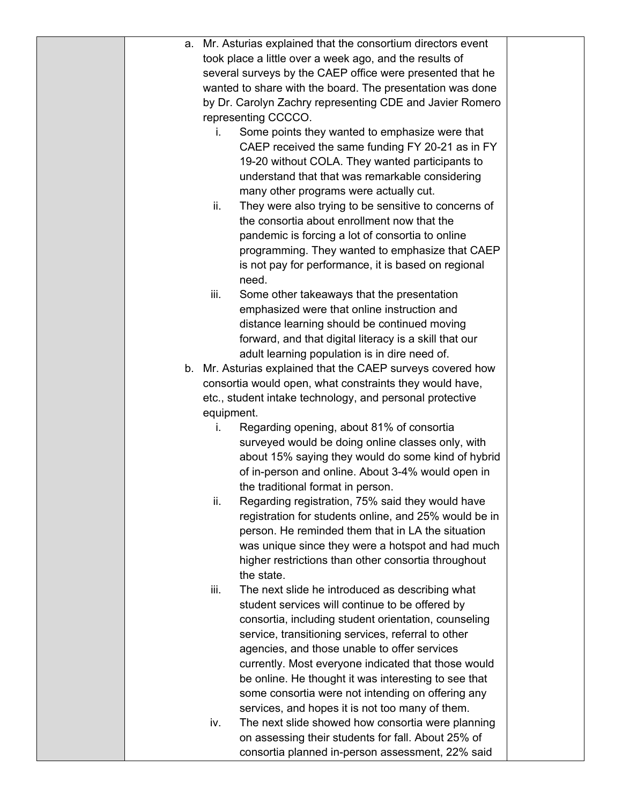|  | a. Mr. Asturias explained that the consortium directors event |  |
|--|---------------------------------------------------------------|--|
|  | took place a little over a week ago, and the results of       |  |
|  | several surveys by the CAEP office were presented that he     |  |
|  | wanted to share with the board. The presentation was done     |  |
|  | by Dr. Carolyn Zachry representing CDE and Javier Romero      |  |
|  | representing CCCCO.                                           |  |
|  | Some points they wanted to emphasize were that<br>i.          |  |
|  | CAEP received the same funding FY 20-21 as in FY              |  |
|  | 19-20 without COLA. They wanted participants to               |  |
|  | understand that that was remarkable considering               |  |
|  | many other programs were actually cut.                        |  |
|  | ii.<br>They were also trying to be sensitive to concerns of   |  |
|  | the consortia about enrollment now that the                   |  |
|  | pandemic is forcing a lot of consortia to online              |  |
|  | programming. They wanted to emphasize that CAEP               |  |
|  | is not pay for performance, it is based on regional           |  |
|  | need.                                                         |  |
|  | iii.<br>Some other takeaways that the presentation            |  |
|  | emphasized were that online instruction and                   |  |
|  | distance learning should be continued moving                  |  |
|  | forward, and that digital literacy is a skill that our        |  |
|  | adult learning population is in dire need of.                 |  |
|  | b. Mr. Asturias explained that the CAEP surveys covered how   |  |
|  | consortia would open, what constraints they would have,       |  |
|  | etc., student intake technology, and personal protective      |  |
|  | equipment.                                                    |  |
|  | Regarding opening, about 81% of consortia<br>Ι.               |  |
|  | surveyed would be doing online classes only, with             |  |
|  | about 15% saying they would do some kind of hybrid            |  |
|  | of in-person and online. About 3-4% would open in             |  |
|  | the traditional format in person.                             |  |
|  | ii.<br>Regarding registration, 75% said they would have       |  |
|  | registration for students online, and 25% would be in         |  |
|  | person. He reminded them that in LA the situation             |  |
|  | was unique since they were a hotspot and had much             |  |
|  | higher restrictions than other consortia throughout           |  |
|  | the state.                                                    |  |
|  | The next slide he introduced as describing what<br>iii.       |  |
|  | student services will continue to be offered by               |  |
|  | consortia, including student orientation, counseling          |  |
|  | service, transitioning services, referral to other            |  |
|  | agencies, and those unable to offer services                  |  |
|  | currently. Most everyone indicated that those would           |  |
|  | be online. He thought it was interesting to see that          |  |
|  | some consortia were not intending on offering any             |  |
|  | services, and hopes it is not too many of them.               |  |
|  | The next slide showed how consortia were planning<br>iv.      |  |
|  | on assessing their students for fall. About 25% of            |  |
|  | consortia planned in-person assessment, 22% said              |  |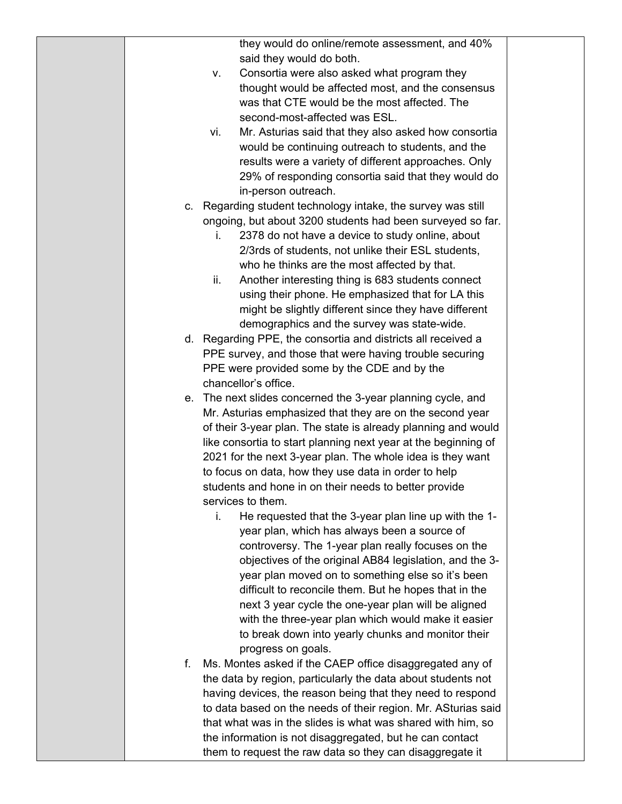|    | they would do online/remote assessment, and 40%                |  |
|----|----------------------------------------------------------------|--|
|    | said they would do both.                                       |  |
|    | Consortia were also asked what program they<br>V.              |  |
|    | thought would be affected most, and the consensus              |  |
|    | was that CTE would be the most affected. The                   |  |
|    | second-most-affected was ESL.                                  |  |
|    | Mr. Asturias said that they also asked how consortia<br>vi.    |  |
|    | would be continuing outreach to students, and the              |  |
|    | results were a variety of different approaches. Only           |  |
|    |                                                                |  |
|    | 29% of responding consortia said that they would do            |  |
|    | in-person outreach.                                            |  |
| C. | Regarding student technology intake, the survey was still      |  |
|    | ongoing, but about 3200 students had been surveyed so far.     |  |
|    | 2378 do not have a device to study online, about<br>İ.         |  |
|    | 2/3rds of students, not unlike their ESL students,             |  |
|    | who he thinks are the most affected by that.                   |  |
|    | ii.<br>Another interesting thing is 683 students connect       |  |
|    | using their phone. He emphasized that for LA this              |  |
|    | might be slightly different since they have different          |  |
|    | demographics and the survey was state-wide.                    |  |
|    | d. Regarding PPE, the consortia and districts all received a   |  |
|    | PPE survey, and those that were having trouble securing        |  |
|    | PPE were provided some by the CDE and by the                   |  |
|    | chancellor's office.                                           |  |
| е. | The next slides concerned the 3-year planning cycle, and       |  |
|    | Mr. Asturias emphasized that they are on the second year       |  |
|    | of their 3-year plan. The state is already planning and would  |  |
|    | like consortia to start planning next year at the beginning of |  |
|    | 2021 for the next 3-year plan. The whole idea is they want     |  |
|    | to focus on data, how they use data in order to help           |  |
|    | students and hone in on their needs to better provide          |  |
|    | services to them.                                              |  |
|    | He requested that the 3-year plan line up with the 1-<br>i.    |  |
|    | year plan, which has always been a source of                   |  |
|    | controversy. The 1-year plan really focuses on the             |  |
|    | objectives of the original AB84 legislation, and the 3-        |  |
|    | year plan moved on to something else so it's been              |  |
|    | difficult to reconcile them. But he hopes that in the          |  |
|    |                                                                |  |
|    | next 3 year cycle the one-year plan will be aligned            |  |
|    | with the three-year plan which would make it easier            |  |
|    | to break down into yearly chunks and monitor their             |  |
|    | progress on goals.                                             |  |
| f. | Ms. Montes asked if the CAEP office disaggregated any of       |  |
|    | the data by region, particularly the data about students not   |  |
|    | having devices, the reason being that they need to respond     |  |
|    | to data based on the needs of their region. Mr. ASturias said  |  |
|    | that what was in the slides is what was shared with him, so    |  |
|    | the information is not disaggregated, but he can contact       |  |
|    | them to request the raw data so they can disaggregate it       |  |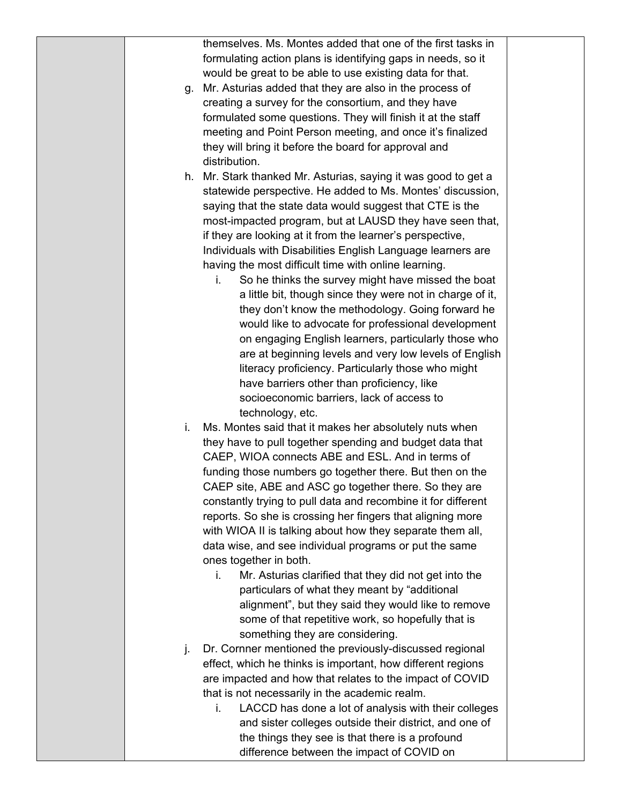|    | themselves. Ms. Montes added that one of the first tasks in    |  |
|----|----------------------------------------------------------------|--|
|    | formulating action plans is identifying gaps in needs, so it   |  |
|    | would be great to be able to use existing data for that.       |  |
| g. | Mr. Asturias added that they are also in the process of        |  |
|    | creating a survey for the consortium, and they have            |  |
|    | formulated some questions. They will finish it at the staff    |  |
|    | meeting and Point Person meeting, and once it's finalized      |  |
|    | they will bring it before the board for approval and           |  |
|    | distribution.                                                  |  |
|    |                                                                |  |
|    | h. Mr. Stark thanked Mr. Asturias, saying it was good to get a |  |
|    | statewide perspective. He added to Ms. Montes' discussion,     |  |
|    | saying that the state data would suggest that CTE is the       |  |
|    | most-impacted program, but at LAUSD they have seen that,       |  |
|    | if they are looking at it from the learner's perspective,      |  |
|    | Individuals with Disabilities English Language learners are    |  |
|    | having the most difficult time with online learning.           |  |
|    | So he thinks the survey might have missed the boat<br>i.       |  |
|    | a little bit, though since they were not in charge of it,      |  |
|    | they don't know the methodology. Going forward he              |  |
|    | would like to advocate for professional development            |  |
|    | on engaging English learners, particularly those who           |  |
|    |                                                                |  |
|    | are at beginning levels and very low levels of English         |  |
|    | literacy proficiency. Particularly those who might             |  |
|    | have barriers other than proficiency, like                     |  |
|    | socioeconomic barriers, lack of access to                      |  |
|    | technology, etc.                                               |  |
| i. | Ms. Montes said that it makes her absolutely nuts when         |  |
|    | they have to pull together spending and budget data that       |  |
|    | CAEP, WIOA connects ABE and ESL. And in terms of               |  |
|    | funding those numbers go together there. But then on the       |  |
|    | CAEP site, ABE and ASC go together there. So they are          |  |
|    | constantly trying to pull data and recombine it for different  |  |
|    | reports. So she is crossing her fingers that aligning more     |  |
|    | with WIOA II is talking about how they separate them all,      |  |
|    | data wise, and see individual programs or put the same         |  |
|    | ones together in both.                                         |  |
|    | Mr. Asturias clarified that they did not get into the<br>i.    |  |
|    | particulars of what they meant by "additional                  |  |
|    | alignment", but they said they would like to remove            |  |
|    | some of that repetitive work, so hopefully that is             |  |
|    |                                                                |  |
|    | something they are considering.                                |  |
| j. | Dr. Cornner mentioned the previously-discussed regional        |  |
|    | effect, which he thinks is important, how different regions    |  |
|    | are impacted and how that relates to the impact of COVID       |  |
|    | that is not necessarily in the academic realm.                 |  |
|    | LACCD has done a lot of analysis with their colleges<br>i.     |  |
|    | and sister colleges outside their district, and one of         |  |
|    | the things they see is that there is a profound                |  |
|    | difference between the impact of COVID on                      |  |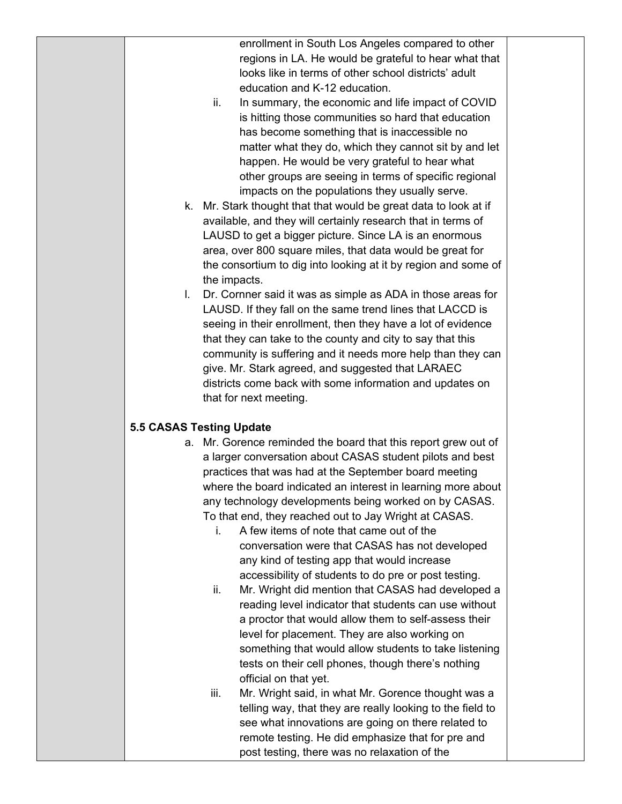enrollment in South Los Angeles compared to other regions in LA. He would be grateful to hear what that looks like in terms of other school districts' adult education and K-12 education.

- ii. In summary, the economic and life impact of COVID is hitting those communities so hard that education has become something that is inaccessible no matter what they do, which they cannot sit by and let happen. He would be very grateful to hear what other groups are seeing in terms of specific regional impacts on the populations they usually serve.
- k. Mr. Stark thought that that would be great data to look at if available, and they will certainly research that in terms of LAUSD to get a bigger picture. Since LA is an enormous area, over 800 square miles, that data would be great for the consortium to dig into looking at it by region and some of the impacts.
- l. Dr. Cornner said it was as simple as ADA in those areas for LAUSD. If they fall on the same trend lines that LACCD is seeing in their enrollment, then they have a lot of evidence that they can take to the county and city to say that this community is suffering and it needs more help than they can give. Mr. Stark agreed, and suggested that LARAEC districts come back with some information and updates on that for next meeting.

## **5.5 CASAS Testing Update**

- a. Mr. Gorence reminded the board that this report grew out of a larger conversation about CASAS student pilots and best practices that was had at the September board meeting where the board indicated an interest in learning more about any technology developments being worked on by CASAS. To that end, they reached out to Jay Wright at CASAS.
	- i. A few items of note that came out of the conversation were that CASAS has not developed any kind of testing app that would increase accessibility of students to do pre or post testing.
	- ii. Mr. Wright did mention that CASAS had developed a reading level indicator that students can use without a proctor that would allow them to self-assess their level for placement. They are also working on something that would allow students to take listening tests on their cell phones, though there's nothing official on that yet.
	- iii. Mr. Wright said, in what Mr. Gorence thought was a telling way, that they are really looking to the field to see what innovations are going on there related to remote testing. He did emphasize that for pre and post testing, there was no relaxation of the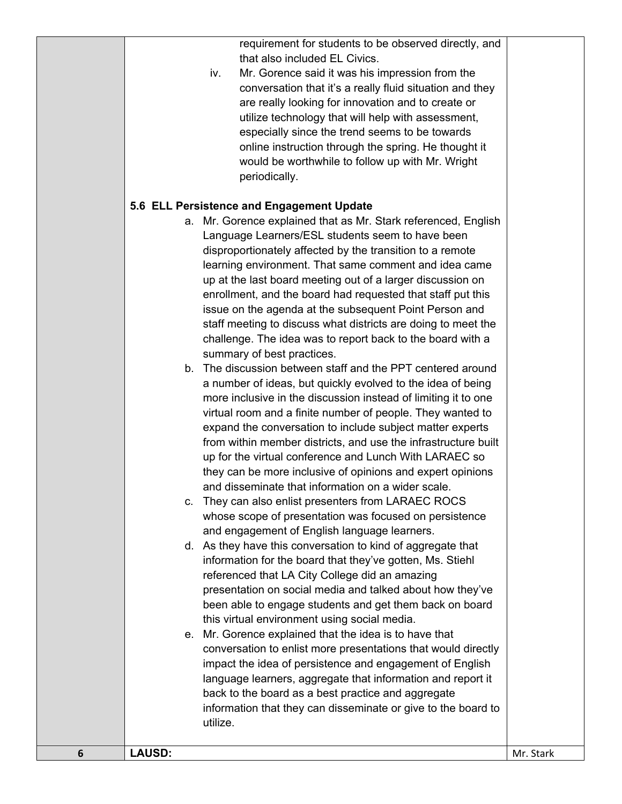requirement for students to be observed directly, and that also included EL Civics.

iv. Mr. Gorence said it was his impression from the conversation that it's a really fluid situation and they are really looking for innovation and to create or utilize technology that will help with assessment, especially since the trend seems to be towards online instruction through the spring. He thought it would be worthwhile to follow up with Mr. Wright periodically.

## **5.6 ELL Persistence and Engagement Update**

- a. Mr. Gorence explained that as Mr. Stark referenced, English Language Learners/ESL students seem to have been disproportionately affected by the transition to a remote learning environment. That same comment and idea came up at the last board meeting out of a larger discussion on enrollment, and the board had requested that staff put this issue on the agenda at the subsequent Point Person and staff meeting to discuss what districts are doing to meet the challenge. The idea was to report back to the board with a summary of best practices.
- b. The discussion between staff and the PPT centered around a number of ideas, but quickly evolved to the idea of being more inclusive in the discussion instead of limiting it to one virtual room and a finite number of people. They wanted to expand the conversation to include subject matter experts from within member districts, and use the infrastructure built up for the virtual conference and Lunch With LARAEC so they can be more inclusive of opinions and expert opinions and disseminate that information on a wider scale.
- c. They can also enlist presenters from LARAEC ROCS whose scope of presentation was focused on persistence and engagement of English language learners.
- d. As they have this conversation to kind of aggregate that information for the board that they've gotten, Ms. Stiehl referenced that LA City College did an amazing presentation on social media and talked about how they've been able to engage students and get them back on board this virtual environment using social media.
- e. Mr. Gorence explained that the idea is to have that conversation to enlist more presentations that would directly impact the idea of persistence and engagement of English language learners, aggregate that information and report it back to the board as a best practice and aggregate information that they can disseminate or give to the board to utilize.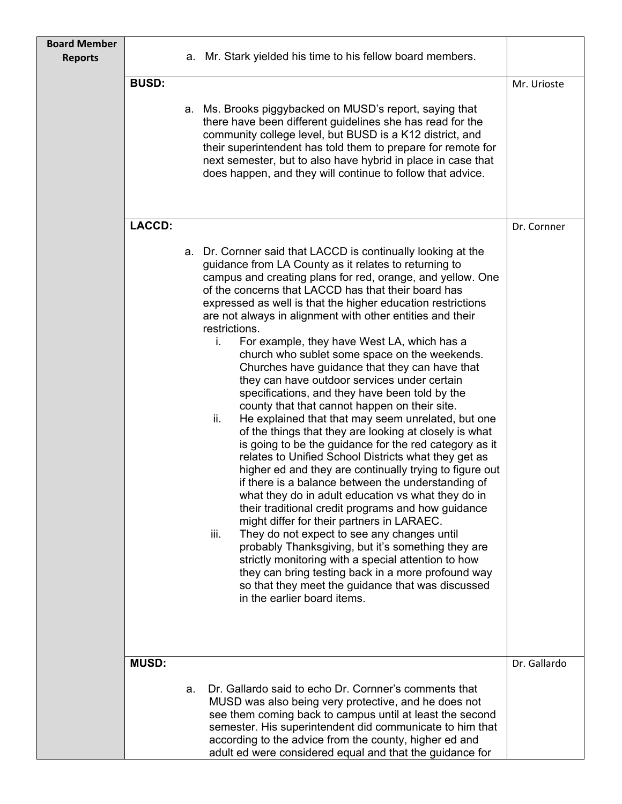| <b>Board Member</b><br><b>Reports</b> | а.           | Mr. Stark yielded his time to his fellow board members.                                                                                                                                                                                                                                                                                                                                                                                                                                                                                                                                                                                                                                                                                                                                                                                                                                                                                                                                                                                                                                                                                                                                                                                                                                                                                                                                                                                                                                                                              |              |
|---------------------------------------|--------------|--------------------------------------------------------------------------------------------------------------------------------------------------------------------------------------------------------------------------------------------------------------------------------------------------------------------------------------------------------------------------------------------------------------------------------------------------------------------------------------------------------------------------------------------------------------------------------------------------------------------------------------------------------------------------------------------------------------------------------------------------------------------------------------------------------------------------------------------------------------------------------------------------------------------------------------------------------------------------------------------------------------------------------------------------------------------------------------------------------------------------------------------------------------------------------------------------------------------------------------------------------------------------------------------------------------------------------------------------------------------------------------------------------------------------------------------------------------------------------------------------------------------------------------|--------------|
|                                       | <b>BUSD:</b> | a. Ms. Brooks piggybacked on MUSD's report, saying that<br>there have been different guidelines she has read for the<br>community college level, but BUSD is a K12 district, and<br>their superintendent has told them to prepare for remote for<br>next semester, but to also have hybrid in place in case that<br>does happen, and they will continue to follow that advice.                                                                                                                                                                                                                                                                                                                                                                                                                                                                                                                                                                                                                                                                                                                                                                                                                                                                                                                                                                                                                                                                                                                                                       | Mr. Urioste  |
|                                       |              |                                                                                                                                                                                                                                                                                                                                                                                                                                                                                                                                                                                                                                                                                                                                                                                                                                                                                                                                                                                                                                                                                                                                                                                                                                                                                                                                                                                                                                                                                                                                      |              |
|                                       | LACCD:       |                                                                                                                                                                                                                                                                                                                                                                                                                                                                                                                                                                                                                                                                                                                                                                                                                                                                                                                                                                                                                                                                                                                                                                                                                                                                                                                                                                                                                                                                                                                                      | Dr. Cornner  |
|                                       |              | a. Dr. Cornner said that LACCD is continually looking at the<br>guidance from LA County as it relates to returning to<br>campus and creating plans for red, orange, and yellow. One<br>of the concerns that LACCD has that their board has<br>expressed as well is that the higher education restrictions<br>are not always in alignment with other entities and their<br>restrictions.<br>For example, they have West LA, which has a<br>i.<br>church who sublet some space on the weekends.<br>Churches have guidance that they can have that<br>they can have outdoor services under certain<br>specifications, and they have been told by the<br>county that that cannot happen on their site.<br>He explained that that may seem unrelated, but one<br>ii.<br>of the things that they are looking at closely is what<br>is going to be the guidance for the red category as it<br>relates to Unified School Districts what they get as<br>higher ed and they are continually trying to figure out<br>if there is a balance between the understanding of<br>what they do in adult education vs what they do in<br>their traditional credit programs and how guidance<br>might differ for their partners in LARAEC.<br>They do not expect to see any changes until<br>iii.<br>probably Thanksgiving, but it's something they are<br>strictly monitoring with a special attention to how<br>they can bring testing back in a more profound way<br>so that they meet the guidance that was discussed<br>in the earlier board items. |              |
|                                       | <b>MUSD:</b> |                                                                                                                                                                                                                                                                                                                                                                                                                                                                                                                                                                                                                                                                                                                                                                                                                                                                                                                                                                                                                                                                                                                                                                                                                                                                                                                                                                                                                                                                                                                                      | Dr. Gallardo |
|                                       | a.           | Dr. Gallardo said to echo Dr. Cornner's comments that<br>MUSD was also being very protective, and he does not<br>see them coming back to campus until at least the second<br>semester. His superintendent did communicate to him that<br>according to the advice from the county, higher ed and<br>adult ed were considered equal and that the guidance for                                                                                                                                                                                                                                                                                                                                                                                                                                                                                                                                                                                                                                                                                                                                                                                                                                                                                                                                                                                                                                                                                                                                                                          |              |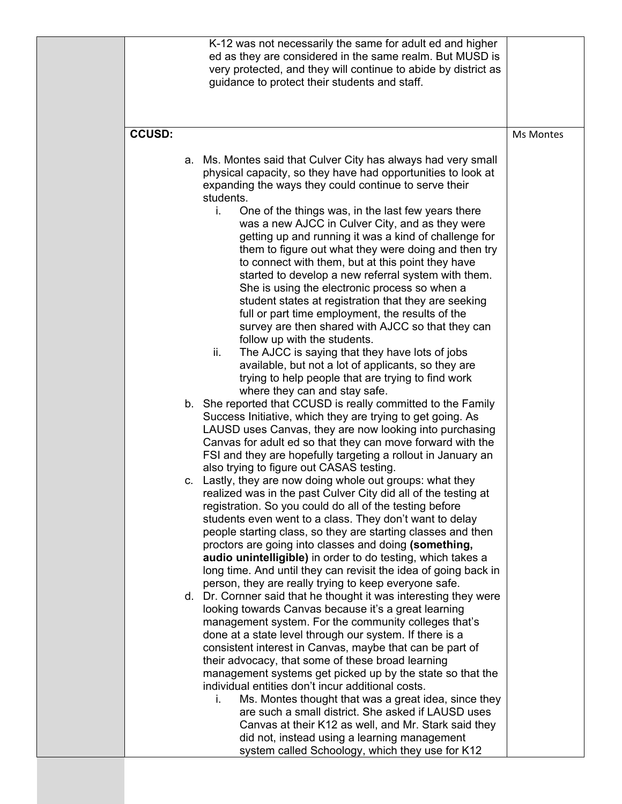|               | K-12 was not necessarily the same for adult ed and higher<br>ed as they are considered in the same realm. But MUSD is<br>very protected, and they will continue to abide by district as<br>guidance to protect their students and staff.                                                                                                                                                                                                                                                                                                                                                                                                                                                                                                                          |           |
|---------------|-------------------------------------------------------------------------------------------------------------------------------------------------------------------------------------------------------------------------------------------------------------------------------------------------------------------------------------------------------------------------------------------------------------------------------------------------------------------------------------------------------------------------------------------------------------------------------------------------------------------------------------------------------------------------------------------------------------------------------------------------------------------|-----------|
| <b>CCUSD:</b> |                                                                                                                                                                                                                                                                                                                                                                                                                                                                                                                                                                                                                                                                                                                                                                   | Ms Montes |
|               | a. Ms. Montes said that Culver City has always had very small<br>physical capacity, so they have had opportunities to look at<br>expanding the ways they could continue to serve their<br>students.<br>One of the things was, in the last few years there<br>i.<br>was a new AJCC in Culver City, and as they were<br>getting up and running it was a kind of challenge for<br>them to figure out what they were doing and then try<br>to connect with them, but at this point they have<br>started to develop a new referral system with them.<br>She is using the electronic process so when a<br>student states at registration that they are seeking<br>full or part time employment, the results of the<br>survey are then shared with AJCC so that they can |           |
|               | follow up with the students.<br>ii.<br>The AJCC is saying that they have lots of jobs<br>available, but not a lot of applicants, so they are<br>trying to help people that are trying to find work<br>where they can and stay safe.                                                                                                                                                                                                                                                                                                                                                                                                                                                                                                                               |           |
|               | b. She reported that CCUSD is really committed to the Family<br>Success Initiative, which they are trying to get going. As<br>LAUSD uses Canvas, they are now looking into purchasing<br>Canvas for adult ed so that they can move forward with the<br>FSI and they are hopefully targeting a rollout in January an<br>also trying to figure out CASAS testing.                                                                                                                                                                                                                                                                                                                                                                                                   |           |
|               | c. Lastly, they are now doing whole out groups: what they<br>realized was in the past Culver City did all of the testing at<br>registration. So you could do all of the testing before<br>students even went to a class. They don't want to delay<br>people starting class, so they are starting classes and then<br>proctors are going into classes and doing (something,<br>audio unintelligible) in order to do testing, which takes a<br>long time. And until they can revisit the idea of going back in<br>person, they are really trying to keep everyone safe.                                                                                                                                                                                             |           |
|               | d. Dr. Cornner said that he thought it was interesting they were<br>looking towards Canvas because it's a great learning<br>management system. For the community colleges that's<br>done at a state level through our system. If there is a<br>consistent interest in Canvas, maybe that can be part of<br>their advocacy, that some of these broad learning<br>management systems get picked up by the state so that the<br>individual entities don't incur additional costs.<br>Ms. Montes thought that was a great idea, since they<br>i.<br>are such a small district. She asked if LAUSD uses<br>Canvas at their K12 as well, and Mr. Stark said they<br>did not, instead using a learning management<br>system called Schoology, which they use for K12     |           |